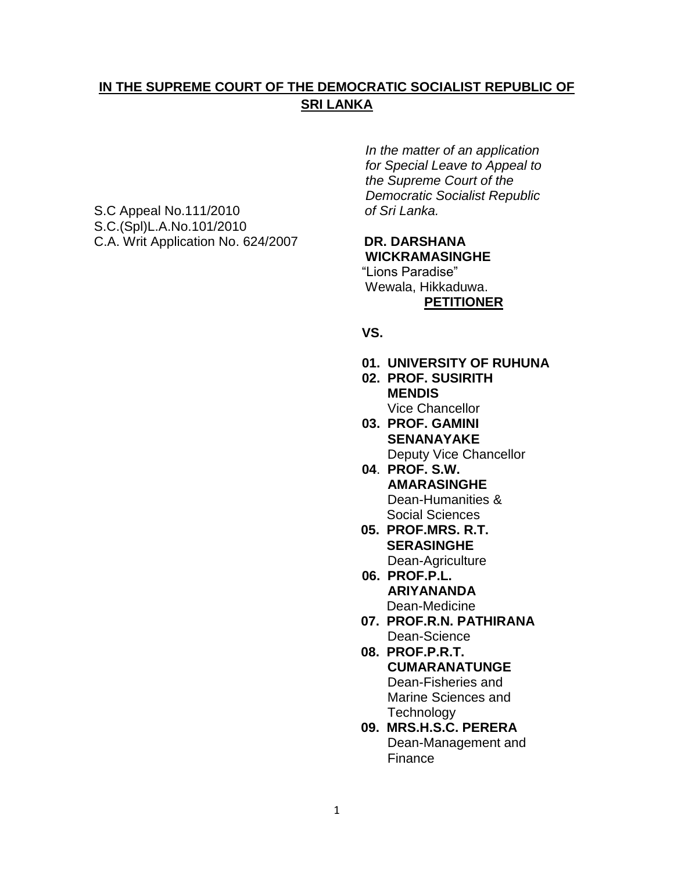# **IN THE SUPREME COURT OF THE DEMOCRATIC SOCIALIST REPUBLIC OF SRI LANKA**

S.C Appeal No.111/2010 *of Sri Lanka.* S.C.(Spl)L.A.No.101/2010 C.A. Writ Application No. 624/2007 **DR. DARSHANA**

 *In the matter of an application for Special Leave to Appeal to the Supreme Court of the Democratic Socialist Republic*

# **WICKRAMASINGHE** "Lions Paradise"

 Wewala, Hikkaduwa. **PETITIONER**

#### **VS.**

- **01. UNIVERSITY OF RUHUNA**
- **02. PROF. SUSIRITH MENDIS** Vice Chancellor
- **03. PROF. GAMINI SENANAYAKE** Deputy Vice Chancellor
- **04**. **PROF. S.W. AMARASINGHE** Dean-Humanities & Social Sciences
- **05. PROF.MRS. R.T. SERASINGHE** Dean-Agriculture
- **06. PROF.P.L. ARIYANANDA** Dean-Medicine
- **07. PROF.R.N. PATHIRANA** Dean-Science
- **08. PROF.P.R.T. CUMARANATUNGE** Dean-Fisheries and Marine Sciences and **Technology**
- **09. MRS.H.S.C. PERERA** Dean-Management and Finance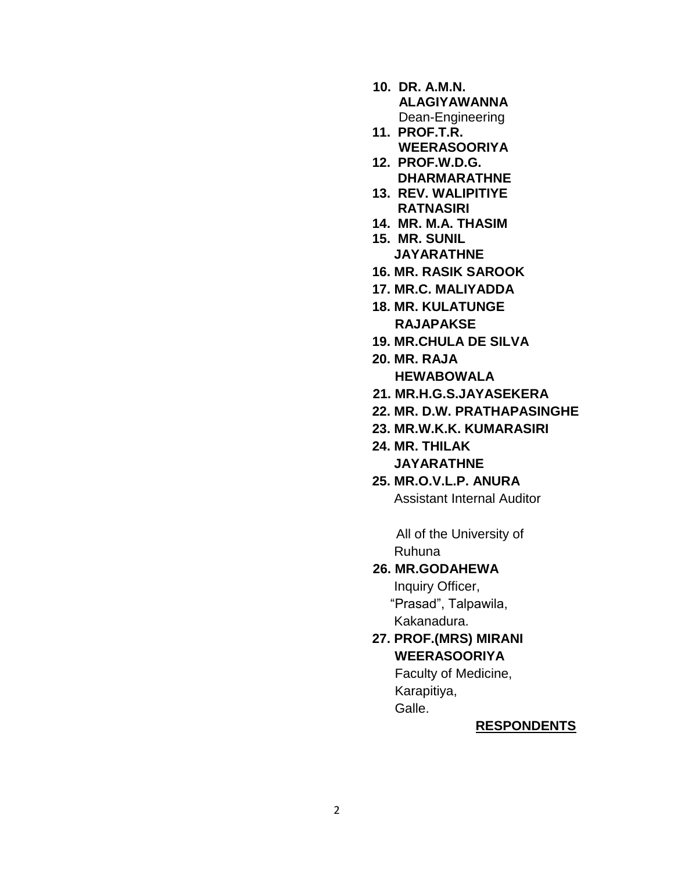- **10. DR. A.M.N. ALAGIYAWANNA** Dean-Engineering
- **11. PROF.T.R. WEERASOORIYA**
- **12. PROF.W.D.G. DHARMARATHNE**
- **13. REV. WALIPITIYE RATNASIRI**
- **14. MR. M.A. THASIM**
- **15. MR. SUNIL JAYARATHNE**
- **16. MR. RASIK SAROOK**
- **17. MR.C. MALIYADDA**
- **18. MR. KULATUNGE RAJAPAKSE**
- **19. MR.CHULA DE SILVA**
- **20. MR. RAJA**
	- **HEWABOWALA**
- **21. MR.H.G.S.JAYASEKERA**
- **22. MR. D.W. PRATHAPASINGHE**
- **23. MR.W.K.K. KUMARASIRI**
- **24. MR. THILAK JAYARATHNE**
- **25. MR.O.V.L.P. ANURA** Assistant Internal Auditor

All of the University of Ruhuna

### **26. MR.GODAHEWA**

 Inquiry Officer, "Prasad", Talpawila, Kakanadura.

 **27. PROF.(MRS) MIRANI WEERASOORIYA**

> Faculty of Medicine, Karapitiya, Galle.

#### **RESPONDENTS**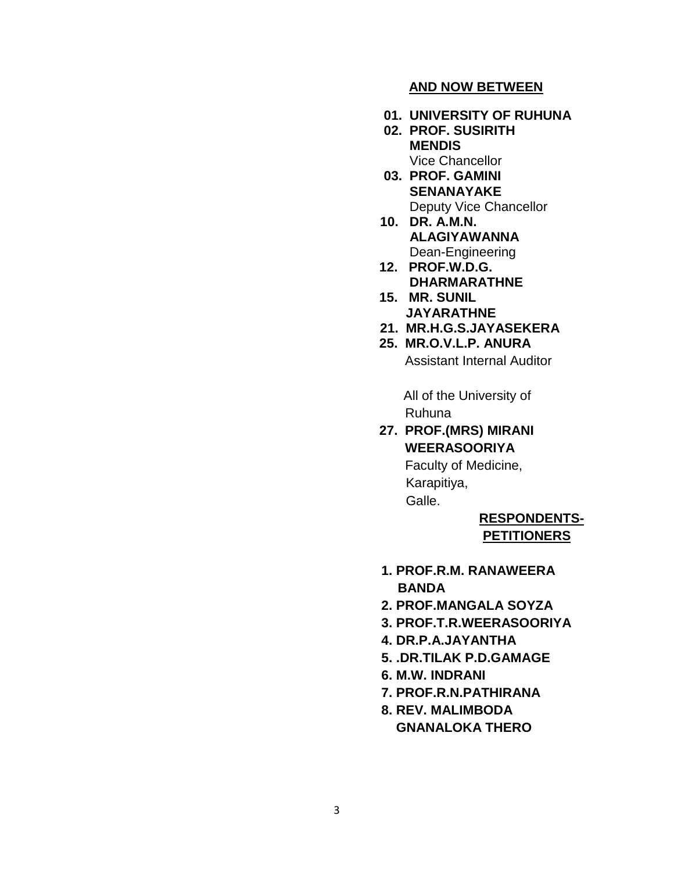#### **AND NOW BETWEEN**

- **01. UNIVERSITY OF RUHUNA**
- **02. PROF. SUSIRITH MENDIS** Vice Chancellor
- **03. PROF. GAMINI SENANAYAKE** Deputy Vice Chancellor
- **10. DR. A.M.N. ALAGIYAWANNA** Dean-Engineering
- **12. PROF.W.D.G. DHARMARATHNE**
- **15. MR. SUNIL JAYARATHNE**
- **21. MR.H.G.S.JAYASEKERA**
- **25. MR.O.V.L.P. ANURA** Assistant Internal Auditor

 All of the University of Ruhuna

 **27. PROF.(MRS) MIRANI WEERASOORIYA**

> Faculty of Medicine, Karapitiya, Galle.

# **RESPONDENTS- PETITIONERS**

- **1. PROF.R.M. RANAWEERA BANDA**
- **2. PROF.MANGALA SOYZA**
- **3. PROF.T.R.WEERASOORIYA**
- **4. DR.P.A.JAYANTHA**
- **5. .DR.TILAK P.D.GAMAGE**
- **6. M.W. INDRANI**
- **7. PROF.R.N.PATHIRANA**
- **8. REV. MALIMBODA GNANALOKA THERO**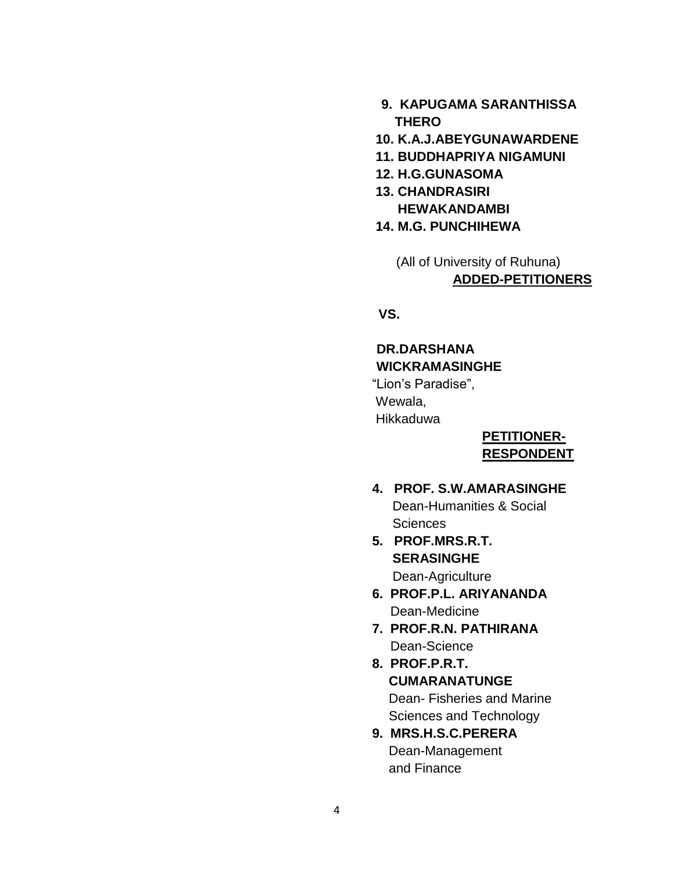- **9. KAPUGAMA SARANTHISSA THERO**
- **10. K.A.J.ABEYGUNAWARDENE**
- **11. BUDDHAPRIYA NIGAMUNI**
- **12. H.G.GUNASOMA**
- **13. CHANDRASIRI HEWAKANDAMBI**
- **14. M.G. PUNCHIHEWA**
	- (All of University of Ruhuna)  **ADDED-PETITIONERS**

 **VS.**

#### **DR.DARSHANA WICKRAMASINGHE**

 "Lion"s Paradise", Wewala, Hikkaduwa

#### **PETITIONER- RESPONDENT**

# **4. PROF. S.W.AMARASINGHE** Dean-Humanities & Social **Sciences**

- **5. PROF.MRS.R.T. SERASINGHE** Dean-Agriculture
- **6. PROF.P.L. ARIYANANDA** Dean-Medicine
- **7. PROF.R.N. PATHIRANA** Dean-Science
- **8. PROF.P.R.T. CUMARANATUNGE** Dean- Fisheries and Marine Sciences and Technology
- **9. MRS.H.S.C.PERERA** Dean-Management and Finance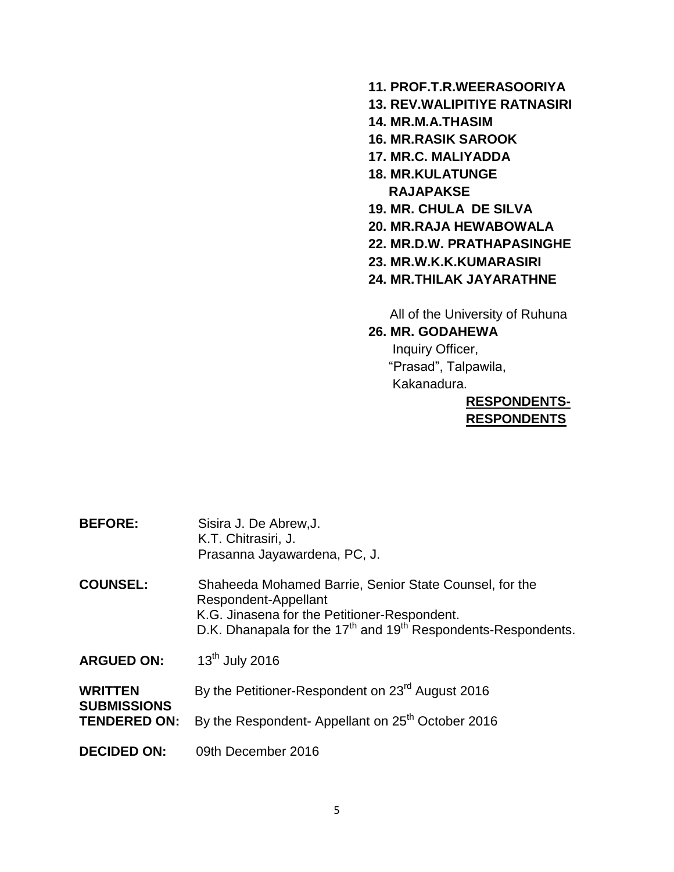- **11. PROF.T.R.WEERASOORIYA**
- **13. REV.WALIPITIYE RATNASIRI**
- **14. MR.M.A.THASIM**
- **16. MR.RASIK SAROOK**
- **17. MR.C. MALIYADDA**
- **18. MR.KULATUNGE RAJAPAKSE**
- **19. MR. CHULA DE SILVA**
- **20. MR.RAJA HEWABOWALA**
- **22. MR.D.W. PRATHAPASINGHE**
- **23. MR.W.K.K.KUMARASIRI**
- **24. MR.THILAK JAYARATHNE**

All of the University of Ruhuna

**26. MR. GODAHEWA**

 Inquiry Officer, "Prasad", Talpawila, Kakanadura.

### **RESPONDENTS- RESPONDENTS**

| <b>BEFORE:</b>                                              | Sisira J. De Abrew, J.<br>K.T. Chitrasiri, J.<br>Prasanna Jayawardena, PC, J.                                                                                                                       |
|-------------------------------------------------------------|-----------------------------------------------------------------------------------------------------------------------------------------------------------------------------------------------------|
| <b>COUNSEL:</b>                                             | Shaheeda Mohamed Barrie, Senior State Counsel, for the<br>Respondent-Appellant<br>K.G. Jinasena for the Petitioner-Respondent.<br>D.K. Dhanapala for the $17th$ and $19th$ Respondents-Respondents. |
| <b>ARGUED ON:</b>                                           | $13th$ July 2016                                                                                                                                                                                    |
| <b>WRITTEN</b><br><b>SUBMISSIONS</b><br><b>TENDERED ON:</b> | By the Petitioner-Respondent on 23 <sup>rd</sup> August 2016                                                                                                                                        |
|                                                             | By the Respondent- Appellant on 25 <sup>th</sup> October 2016                                                                                                                                       |
| <b>DECIDED ON:</b>                                          | 09th December 2016                                                                                                                                                                                  |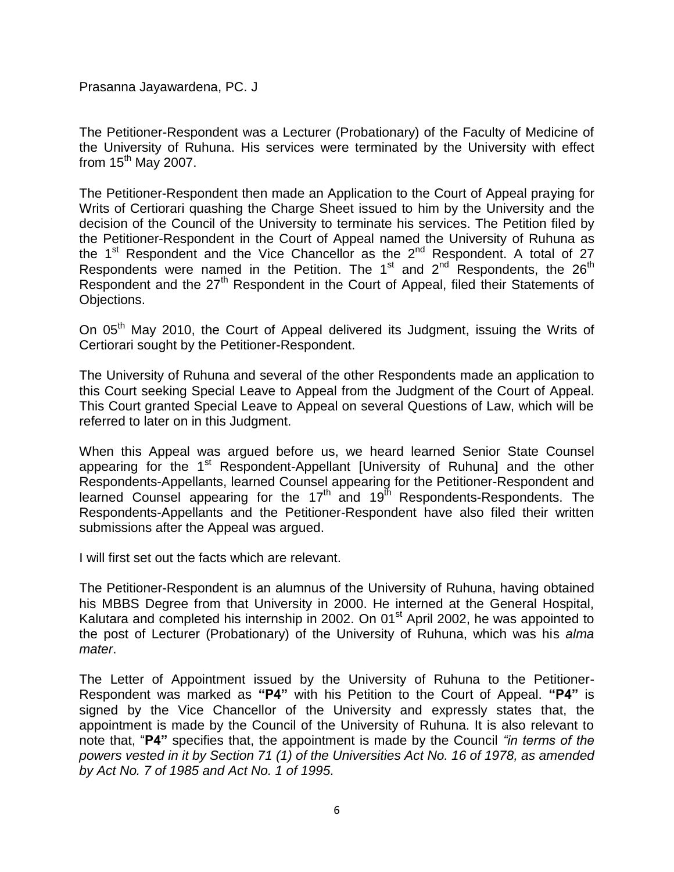Prasanna Jayawardena, PC. J

The Petitioner-Respondent was a Lecturer (Probationary) of the Faculty of Medicine of the University of Ruhuna. His services were terminated by the University with effect from  $15<sup>th</sup>$  May 2007.

The Petitioner-Respondent then made an Application to the Court of Appeal praying for Writs of Certiorari quashing the Charge Sheet issued to him by the University and the decision of the Council of the University to terminate his services. The Petition filed by the Petitioner-Respondent in the Court of Appeal named the University of Ruhuna as the  $1<sup>st</sup>$  Respondent and the Vice Chancellor as the  $2<sup>nd</sup>$  Respondent. A total of 27 Respondents were named in the Petition. The 1<sup>st</sup> and 2<sup>nd</sup> Respondents, the 26<sup>th</sup> Respondent and the 27<sup>th</sup> Respondent in the Court of Appeal, filed their Statements of Objections.

On 05<sup>th</sup> May 2010, the Court of Appeal delivered its Judgment, issuing the Writs of Certiorari sought by the Petitioner-Respondent.

The University of Ruhuna and several of the other Respondents made an application to this Court seeking Special Leave to Appeal from the Judgment of the Court of Appeal. This Court granted Special Leave to Appeal on several Questions of Law, which will be referred to later on in this Judgment.

When this Appeal was argued before us, we heard learned Senior State Counsel appearing for the 1<sup>st</sup> Respondent-Appellant [University of Ruhuna] and the other Respondents-Appellants, learned Counsel appearing for the Petitioner-Respondent and learned Counsel appearing for the  $17<sup>th</sup>$  and  $19<sup>th</sup>$  Respondents-Respondents. The Respondents-Appellants and the Petitioner-Respondent have also filed their written submissions after the Appeal was argued.

I will first set out the facts which are relevant.

The Petitioner-Respondent is an alumnus of the University of Ruhuna, having obtained his MBBS Degree from that University in 2000. He interned at the General Hospital, Kalutara and completed his internship in 2002. On 01<sup>st</sup> April 2002, he was appointed to the post of Lecturer (Probationary) of the University of Ruhuna, which was his *alma mater*.

The Letter of Appointment issued by the University of Ruhuna to the Petitioner-Respondent was marked as **"P4"** with his Petition to the Court of Appeal. **"P4"** is signed by the Vice Chancellor of the University and expressly states that, the appointment is made by the Council of the University of Ruhuna. It is also relevant to note that, "**P4"** specifies that, the appointment is made by the Council *"in terms of the powers vested in it by Section 71 (1) of the Universities Act No. 16 of 1978, as amended by Act No. 7 of 1985 and Act No. 1 of 1995.*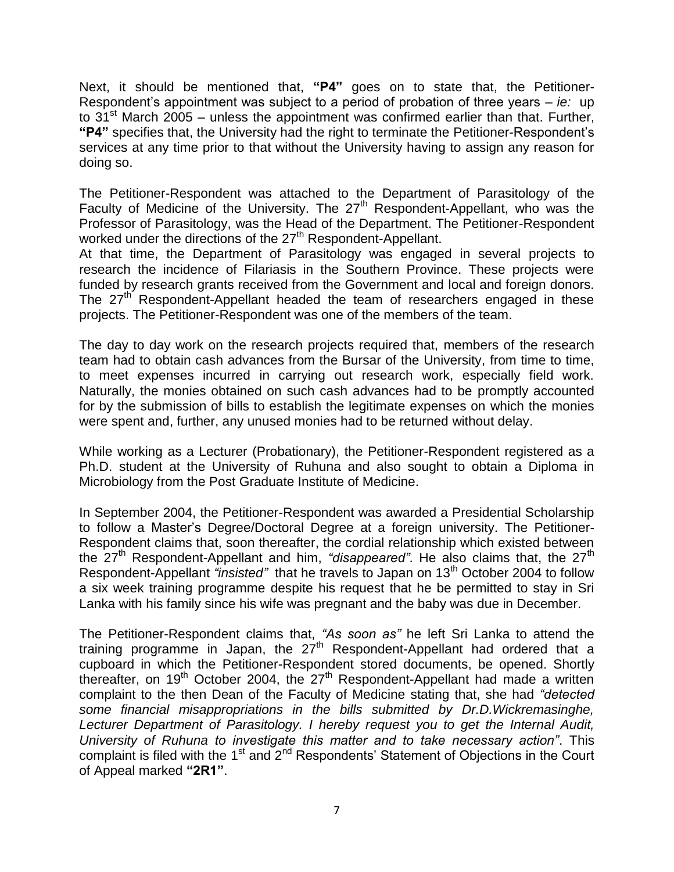Next, it should be mentioned that, **"P4"** goes on to state that, the Petitioner-Respondent's appointment was subject to a period of probation of three years – *ie:* up to 31<sup>st</sup> March 2005 – unless the appointment was confirmed earlier than that. Further, **"P4"** specifies that, the University had the right to terminate the Petitioner-Respondent"s services at any time prior to that without the University having to assign any reason for doing so.

The Petitioner-Respondent was attached to the Department of Parasitology of the Faculty of Medicine of the University. The 27<sup>th</sup> Respondent-Appellant, who was the Professor of Parasitology, was the Head of the Department. The Petitioner-Respondent worked under the directions of the 27<sup>th</sup> Respondent-Appellant.

At that time, the Department of Parasitology was engaged in several projects to research the incidence of Filariasis in the Southern Province. These projects were funded by research grants received from the Government and local and foreign donors. The 27<sup>th</sup> Respondent-Appellant headed the team of researchers engaged in these projects. The Petitioner-Respondent was one of the members of the team.

The day to day work on the research projects required that, members of the research team had to obtain cash advances from the Bursar of the University, from time to time, to meet expenses incurred in carrying out research work, especially field work. Naturally, the monies obtained on such cash advances had to be promptly accounted for by the submission of bills to establish the legitimate expenses on which the monies were spent and, further, any unused monies had to be returned without delay.

While working as a Lecturer (Probationary), the Petitioner-Respondent registered as a Ph.D. student at the University of Ruhuna and also sought to obtain a Diploma in Microbiology from the Post Graduate Institute of Medicine.

In September 2004, the Petitioner-Respondent was awarded a Presidential Scholarship to follow a Master"s Degree/Doctoral Degree at a foreign university. The Petitioner-Respondent claims that, soon thereafter, the cordial relationship which existed between the 27<sup>th</sup> Respondent-Appellant and him, "*disappeared*". He also claims that, the 27<sup>th</sup> Respondent-Appellant *"insisted"* that he travels to Japan on 13th October 2004 to follow a six week training programme despite his request that he be permitted to stay in Sri Lanka with his family since his wife was pregnant and the baby was due in December.

The Petitioner-Respondent claims that, *"As soon as"* he left Sri Lanka to attend the training programme in Japan, the  $27<sup>th</sup>$  Respondent-Appellant had ordered that a cupboard in which the Petitioner-Respondent stored documents, be opened. Shortly thereafter, on 19<sup>th</sup> October 2004, the 27<sup>th</sup> Respondent-Appellant had made a written complaint to the then Dean of the Faculty of Medicine stating that, she had *"detected some financial misappropriations in the bills submitted by Dr.D.Wickremasinghe, Lecturer Department of Parasitology. I hereby request you to get the Internal Audit, University of Ruhuna to investigate this matter and to take necessary action"*. This complaint is filed with the 1<sup>st</sup> and  $2<sup>nd</sup>$  Respondents' Statement of Objections in the Court of Appeal marked **"2R1"**.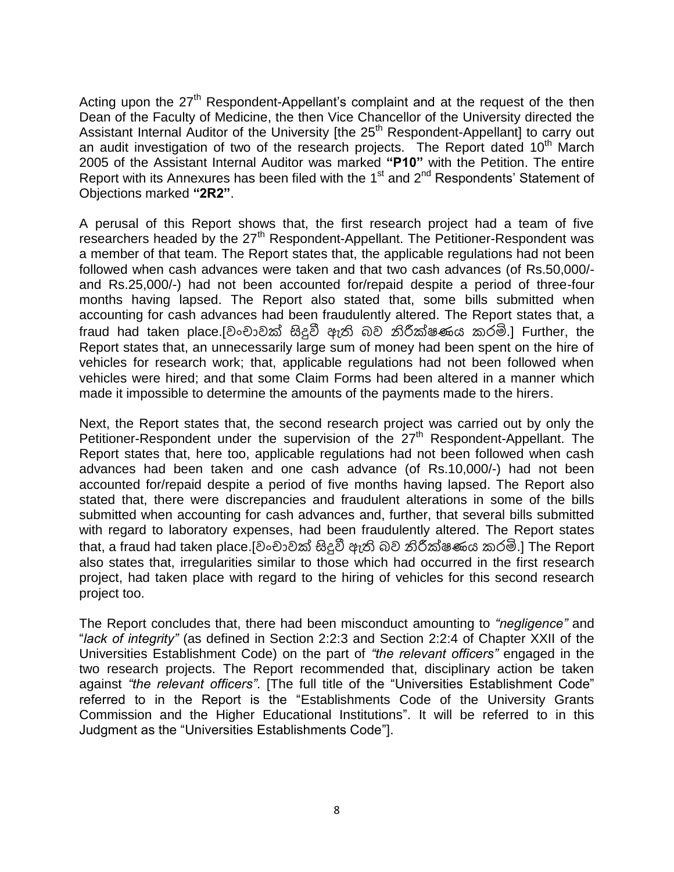Acting upon the 27<sup>th</sup> Respondent-Appellant's complaint and at the request of the then Dean of the Faculty of Medicine, the then Vice Chancellor of the University directed the Assistant Internal Auditor of the University [the 25<sup>th</sup> Respondent-Appellant] to carry out an audit investigation of two of the research projects. The Report dated  $10<sup>th</sup>$  March 2005 of the Assistant Internal Auditor was marked **"P10"** with the Petition. The entire Report with its Annexures has been filed with the  $1<sup>st</sup>$  and  $2<sup>nd</sup>$  Respondents' Statement of Objections marked **"2R2"**.

A perusal of this Report shows that, the first research project had a team of five researchers headed by the 27<sup>th</sup> Respondent-Appellant. The Petitioner-Respondent was a member of that team. The Report states that, the applicable regulations had not been followed when cash advances were taken and that two cash advances (of Rs.50,000/ and Rs.25,000/-) had not been accounted for/repaid despite a period of three-four months having lapsed. The Report also stated that, some bills submitted when accounting for cash advances had been fraudulently altered. The Report states that, a fraud had taken place.[වංචාවක් සිදුවී ඇති බව නිරීක්ෂණය කරමි.] Further, the Report states that, an unnecessarily large sum of money had been spent on the hire of vehicles for research work; that, applicable regulations had not been followed when vehicles were hired; and that some Claim Forms had been altered in a manner which made it impossible to determine the amounts of the payments made to the hirers.

Next, the Report states that, the second research project was carried out by only the Petitioner-Respondent under the supervision of the  $27<sup>th</sup>$  Respondent-Appellant. The Report states that, here too, applicable regulations had not been followed when cash advances had been taken and one cash advance (of Rs.10,000/-) had not been accounted for/repaid despite a period of five months having lapsed. The Report also stated that, there were discrepancies and fraudulent alterations in some of the bills submitted when accounting for cash advances and, further, that several bills submitted with regard to laboratory expenses, had been fraudulently altered. The Report states that, a fraud had taken place.[වංචාවක් සිදුවී ඇති බව නිරීක්ෂණය කරමි.] The Report also states that, irregularities similar to those which had occurred in the first research project, had taken place with regard to the hiring of vehicles for this second research project too.

The Report concludes that, there had been misconduct amounting to *"negligence"* and "*lack of integrity"* (as defined in Section 2:2:3 and Section 2:2:4 of Chapter XXII of the Universities Establishment Code) on the part of *"the relevant officers"* engaged in the two research projects. The Report recommended that, disciplinary action be taken against *"the relevant officers"*. [The full title of the "Universities Establishment Code" referred to in the Report is the "Establishments Code of the University Grants Commission and the Higher Educational Institutions". It will be referred to in this Judgment as the "Universities Establishments Code"].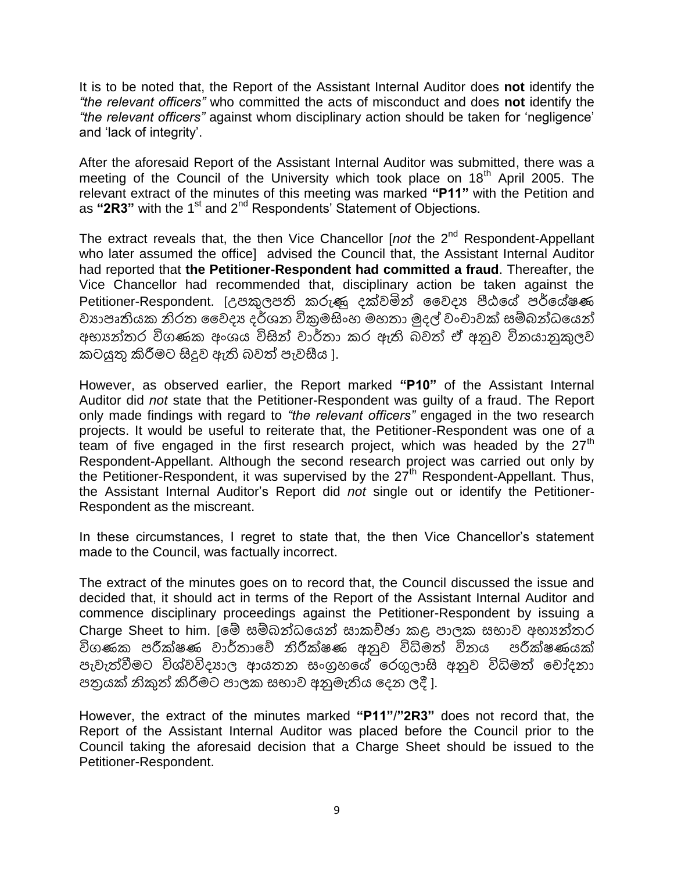It is to be noted that, the Report of the Assistant Internal Auditor does **not** identify the *"the relevant officers"* who committed the acts of misconduct and does **not** identify the *"the relevant officers"* against whom disciplinary action should be taken for "negligence" and "lack of integrity".

After the aforesaid Report of the Assistant Internal Auditor was submitted, there was a meeting of the Council of the University which took place on  $18<sup>th</sup>$  April 2005. The relevant extract of the minutes of this meeting was marked **"P11"** with the Petition and as "2R3" with the 1<sup>st</sup> and 2<sup>nd</sup> Respondents' Statement of Objections.

The extract reveals that, the then Vice Chancellor [*not* the 2<sup>nd</sup> Respondent-Appellant who later assumed the office] advised the Council that, the Assistant Internal Auditor had reported that **the Petitioner-Respondent had committed a fraud**. Thereafter, the Vice Chancellor had recommended that, disciplinary action be taken against the Petitioner-Respondent. [උඳකුලඳති කරුණු දක්වමින් වවදය පීඨයේ ඳර්යේෂණ වායාපෘතියක නිරත වෛදා දර්ශන විකුමසිංහ මහතා මුදල් වංචාවක් සම්බන්ධයෙන් අභ්යන්වර විණණක අංනය විසින් වාර්වා කර ඇති බවත් ඒ අනුව විනයානුකුලව කටයුතු කිරීමසට සිදුව ඇති බවත් ඳැවසීය ].

However, as observed earlier, the Report marked **"P10"** of the Assistant Internal Auditor did *not* state that the Petitioner-Respondent was guilty of a fraud. The Report only made findings with regard to *"the relevant officers"* engaged in the two research projects. It would be useful to reiterate that, the Petitioner-Respondent was one of a team of five engaged in the first research project, which was headed by the  $27<sup>th</sup>$ Respondent-Appellant. Although the second research project was carried out only by the Petitioner-Respondent, it was supervised by the  $27<sup>th</sup>$  Respondent-Appellant. Thus, the Assistant Internal Auditor"s Report did *not* single out or identify the Petitioner-Respondent as the miscreant.

In these circumstances, I regret to state that, the then Vice Chancellor's statement made to the Council, was factually incorrect.

The extract of the minutes goes on to record that, the Council discussed the issue and decided that, it should act in terms of the Report of the Assistant Internal Auditor and commence disciplinary proceedings against the Petitioner-Respondent by issuing a Charge Sheet to him. [මේ සම්බන්ධයෙන් සාකච්ඡා කළ පාලක සභාව අභාගන්තර විගණක පරීක්ෂණ වාර්තාවේ නිරීක්ෂණ අනුව විධිමත් විනය පරීක්ෂණයක් පැවැත්වීමට විශ්වවිදයාල ආයතන සංගුහයේ රෙගුලාසි අනුව විධිමත් චෝදනා පතුයක් නිකුත් කිරීමට පාලක සභාව අනුමැතිය දෙන ලදී ].

However, the extract of the minutes marked **"P11"**/**"2R3"** does not record that, the Report of the Assistant Internal Auditor was placed before the Council prior to the Council taking the aforesaid decision that a Charge Sheet should be issued to the Petitioner-Respondent.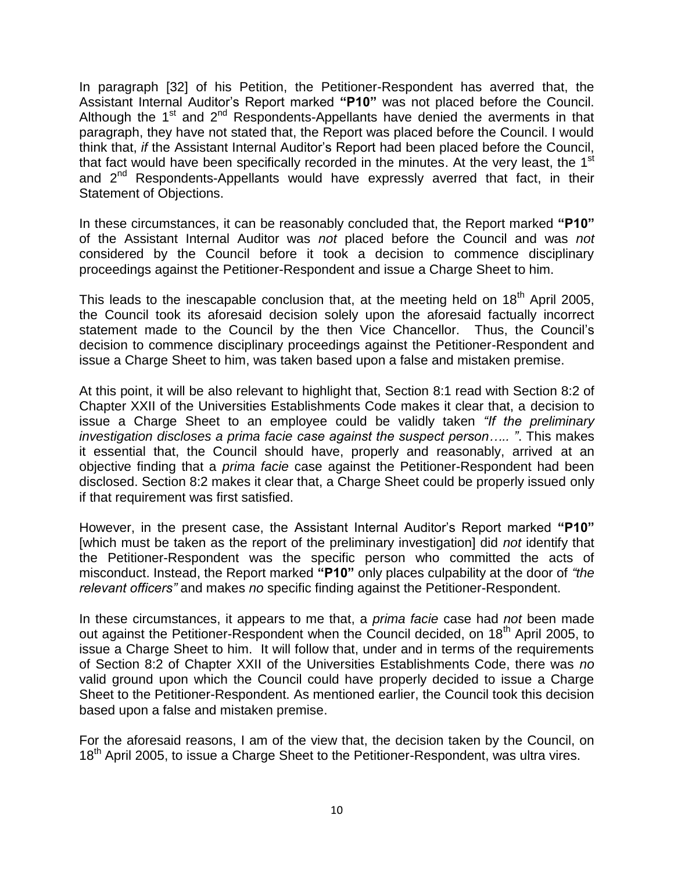In paragraph [32] of his Petition, the Petitioner-Respondent has averred that, the Assistant Internal Auditor"s Report marked **"P10"** was not placed before the Council. Although the  $1<sup>st</sup>$  and  $2<sup>nd</sup>$  Respondents-Appellants have denied the averments in that paragraph, they have not stated that, the Report was placed before the Council. I would think that, *if* the Assistant Internal Auditor"s Report had been placed before the Council, that fact would have been specifically recorded in the minutes. At the very least, the 1<sup>st</sup> and 2<sup>nd</sup> Respondents-Appellants would have expressly averred that fact, in their Statement of Objections.

In these circumstances, it can be reasonably concluded that, the Report marked **"P10"**  of the Assistant Internal Auditor was *not* placed before the Council and was *not* considered by the Council before it took a decision to commence disciplinary proceedings against the Petitioner-Respondent and issue a Charge Sheet to him.

This leads to the inescapable conclusion that, at the meeting held on  $18<sup>th</sup>$  April 2005, the Council took its aforesaid decision solely upon the aforesaid factually incorrect statement made to the Council by the then Vice Chancellor. Thus, the Council"s decision to commence disciplinary proceedings against the Petitioner-Respondent and issue a Charge Sheet to him, was taken based upon a false and mistaken premise.

At this point, it will be also relevant to highlight that, Section 8:1 read with Section 8:2 of Chapter XXII of the Universities Establishments Code makes it clear that, a decision to issue a Charge Sheet to an employee could be validly taken *"If the preliminary investigation discloses a prima facie case against the suspect person….. "*. This makes it essential that, the Council should have, properly and reasonably, arrived at an objective finding that a *prima facie* case against the Petitioner-Respondent had been disclosed. Section 8:2 makes it clear that, a Charge Sheet could be properly issued only if that requirement was first satisfied.

However, in the present case, the Assistant Internal Auditor"s Report marked **"P10"** [which must be taken as the report of the preliminary investigation] did *not* identify that the Petitioner-Respondent was the specific person who committed the acts of misconduct. Instead, the Report marked **"P10"** only places culpability at the door of *"the relevant officers"* and makes *no* specific finding against the Petitioner-Respondent.

In these circumstances, it appears to me that, a *prima facie* case had *not* been made out against the Petitioner-Respondent when the Council decided, on 18<sup>th</sup> April 2005, to issue a Charge Sheet to him. It will follow that, under and in terms of the requirements of Section 8:2 of Chapter XXII of the Universities Establishments Code, there was *no* valid ground upon which the Council could have properly decided to issue a Charge Sheet to the Petitioner-Respondent. As mentioned earlier, the Council took this decision based upon a false and mistaken premise.

For the aforesaid reasons, I am of the view that, the decision taken by the Council, on 18<sup>th</sup> April 2005, to issue a Charge Sheet to the Petitioner-Respondent, was ultra vires.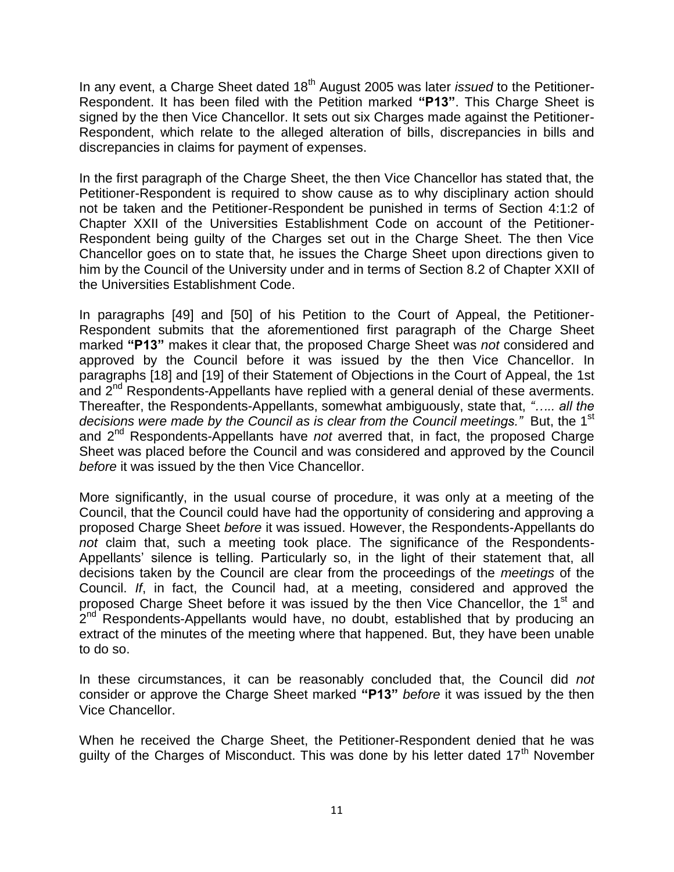In any event, a Charge Sheet dated 18<sup>th</sup> August 2005 was later *issued* to the Petitioner-Respondent. It has been filed with the Petition marked **"P13"**. This Charge Sheet is signed by the then Vice Chancellor. It sets out six Charges made against the Petitioner-Respondent, which relate to the alleged alteration of bills, discrepancies in bills and discrepancies in claims for payment of expenses.

In the first paragraph of the Charge Sheet, the then Vice Chancellor has stated that, the Petitioner-Respondent is required to show cause as to why disciplinary action should not be taken and the Petitioner-Respondent be punished in terms of Section 4:1:2 of Chapter XXII of the Universities Establishment Code on account of the Petitioner-Respondent being guilty of the Charges set out in the Charge Sheet. The then Vice Chancellor goes on to state that, he issues the Charge Sheet upon directions given to him by the Council of the University under and in terms of Section 8.2 of Chapter XXII of the Universities Establishment Code.

In paragraphs [49] and [50] of his Petition to the Court of Appeal, the Petitioner-Respondent submits that the aforementioned first paragraph of the Charge Sheet marked **"P13"** makes it clear that, the proposed Charge Sheet was *not* considered and approved by the Council before it was issued by the then Vice Chancellor. In paragraphs [18] and [19] of their Statement of Objections in the Court of Appeal, the 1st and 2<sup>nd</sup> Respondents-Appellants have replied with a general denial of these averments. Thereafter, the Respondents-Appellants, somewhat ambiguously, state that, *"….. all the*  decisions were made by the Council as is clear from the Council meetings." But, the 1<sup>st</sup> and 2nd Respondents-Appellants have *not* averred that, in fact, the proposed Charge Sheet was placed before the Council and was considered and approved by the Council *before* it was issued by the then Vice Chancellor.

More significantly, in the usual course of procedure, it was only at a meeting of the Council, that the Council could have had the opportunity of considering and approving a proposed Charge Sheet *before* it was issued. However, the Respondents-Appellants do *not* claim that, such a meeting took place. The significance of the Respondents-Appellants' silence is telling. Particularly so, in the light of their statement that, all decisions taken by the Council are clear from the proceedings of the *meetings* of the Council. *If*, in fact, the Council had, at a meeting, considered and approved the proposed Charge Sheet before it was issued by the then Vice Chancellor, the 1<sup>st</sup> and .<br>2<sup>nd</sup> Respondents-Appellants would have, no doubt, established that by producing an extract of the minutes of the meeting where that happened. But, they have been unable to do so.

In these circumstances, it can be reasonably concluded that, the Council did *not* consider or approve the Charge Sheet marked **"P13"** *before* it was issued by the then Vice Chancellor.

When he received the Charge Sheet, the Petitioner-Respondent denied that he was quilty of the Charges of Misconduct. This was done by his letter dated  $17<sup>th</sup>$  November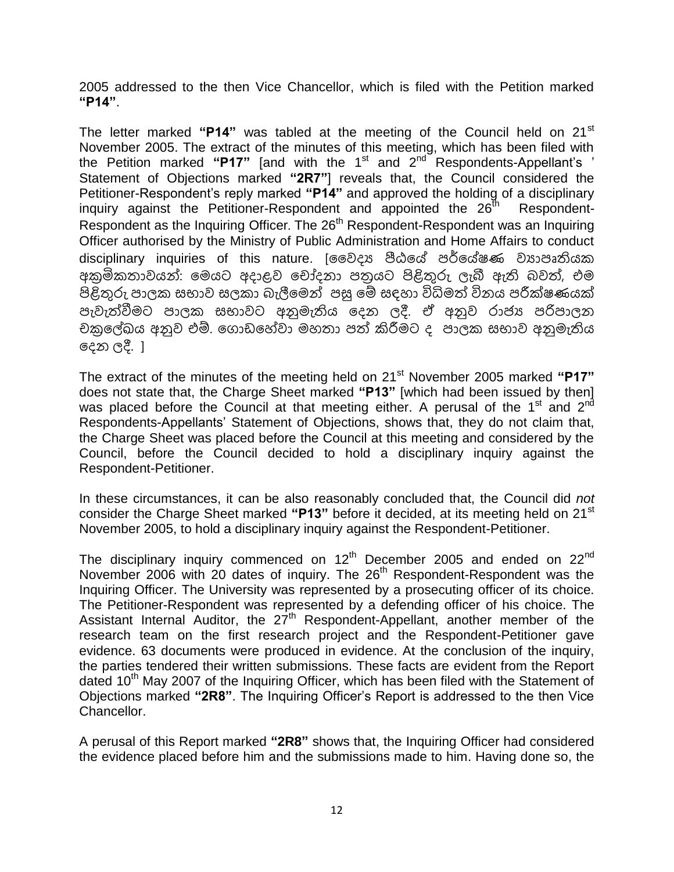2005 addressed to the then Vice Chancellor, which is filed with the Petition marked **"P14"**.

The letter marked **"P14"** was tabled at the meeting of the Council held on 21st November 2005. The extract of the minutes of this meeting, which has been filed with the Petition marked "P17" [and with the 1<sup>st</sup> and 2<sup>nd Respondents-Appellant's '</sup> Statement of Objections marked **"2R7"**] reveals that, the Council considered the Petitioner-Respondent"s reply marked **"P14"** and approved the holding of a disciplinary inquiry against the Petitioner-Respondent and appointed the  $26<sup>th</sup>$  Respondent-Respondent as the Inquiring Officer. The 26<sup>th</sup> Respondent-Respondent was an Inquiring Officer authorised by the Ministry of Public Administration and Home Affairs to conduct disciplinary inquiries of this nature. [වෛදා පීඨයේ පර්යේෂණ වාාපෘතියක අකුමිකතාවයන්: මෙයට අදාළව චෝදනා පතුයට පිළිතුරු ලැබී ඇති බවත්, එම පිළිතුරු පාලක සභාව සලකා බැලීමෙන් පසු මේ සඳහා විධිමත් විනය පරීක්ෂණයක් පැවැත්වීමට පාලක සභාවට අනුමැතිය දෙන ලදී. ඒ අනුව රාජා පරිපාලන චකුලේඛය අනුව එම්. ගොඩහේවා මහතා පත් කිරීමට ද පාලක සභාව අනුමැතිය යදන ලදී. ]

The extract of the minutes of the meeting held on 21<sup>st</sup> November 2005 marked "P17" does not state that, the Charge Sheet marked **"P13"** [which had been issued by then] was placed before the Council at that meeting either. A perusal of the 1<sup>st</sup> and 2<sup>nd</sup> Respondents-Appellants" Statement of Objections, shows that, they do not claim that, the Charge Sheet was placed before the Council at this meeting and considered by the Council, before the Council decided to hold a disciplinary inquiry against the Respondent-Petitioner.

In these circumstances, it can be also reasonably concluded that, the Council did *not* consider the Charge Sheet marked **"P13"** before it decided, at its meeting held on 21st November 2005, to hold a disciplinary inquiry against the Respondent-Petitioner.

The disciplinary inquiry commenced on  $12<sup>th</sup>$  December 2005 and ended on  $22<sup>nd</sup>$ November 2006 with 20 dates of inquiry. The 26<sup>th</sup> Respondent-Respondent was the Inquiring Officer. The University was represented by a prosecuting officer of its choice. The Petitioner-Respondent was represented by a defending officer of his choice. The Assistant Internal Auditor, the  $27<sup>th</sup>$  Respondent-Appellant, another member of the research team on the first research project and the Respondent-Petitioner gave evidence. 63 documents were produced in evidence. At the conclusion of the inquiry, the parties tendered their written submissions. These facts are evident from the Report dated  $10<sup>th</sup>$  May 2007 of the Inquiring Officer, which has been filed with the Statement of Objections marked **"2R8"**. The Inquiring Officer"s Report is addressed to the then Vice Chancellor.

A perusal of this Report marked **"2R8"** shows that, the Inquiring Officer had considered the evidence placed before him and the submissions made to him. Having done so, the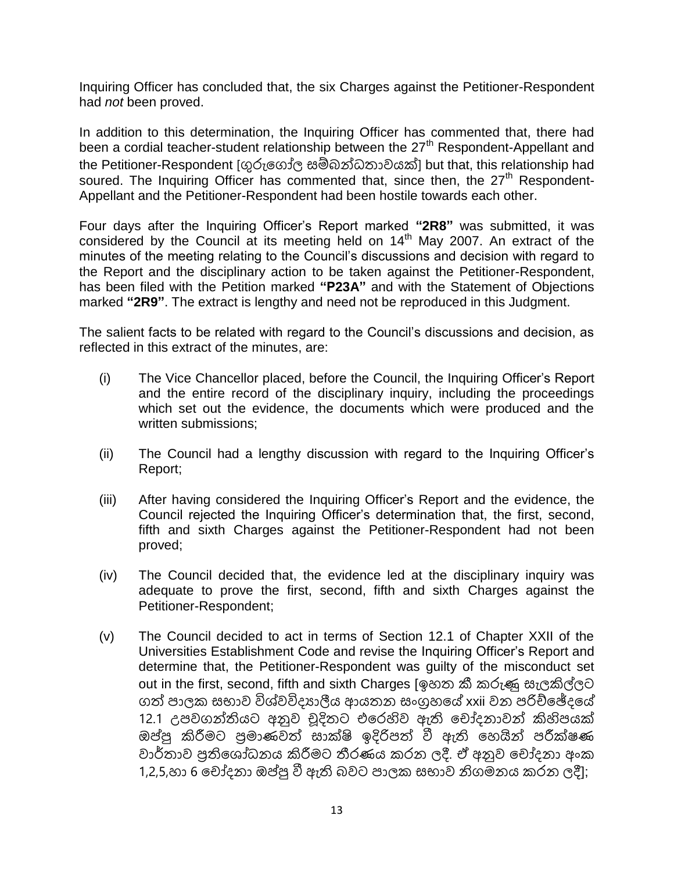Inquiring Officer has concluded that, the six Charges against the Petitioner-Respondent had *not* been proved.

In addition to this determination, the Inquiring Officer has commented that, there had been a cordial teacher-student relationship between the 27<sup>th</sup> Respondent-Appellant and the Petitioner-Respondent [ගුරුයණෝල සම්බන්ධවාවයක්] but that, this relationship had soured. The Inquiring Officer has commented that, since then, the  $27<sup>th</sup>$  Respondent-Appellant and the Petitioner-Respondent had been hostile towards each other.

Four days after the Inquiring Officer"s Report marked **"2R8"** was submitted, it was considered by the Council at its meeting held on 14<sup>th</sup> May 2007. An extract of the minutes of the meeting relating to the Council"s discussions and decision with regard to the Report and the disciplinary action to be taken against the Petitioner-Respondent, has been filed with the Petition marked **"P23A"** and with the Statement of Objections marked **"2R9"**. The extract is lengthy and need not be reproduced in this Judgment.

The salient facts to be related with regard to the Council"s discussions and decision, as reflected in this extract of the minutes, are:

- (i) The Vice Chancellor placed, before the Council, the Inquiring Officer"s Report and the entire record of the disciplinary inquiry, including the proceedings which set out the evidence, the documents which were produced and the written submissions;
- (ii) The Council had a lengthy discussion with regard to the Inquiring Officer"s Report;
- (iii) After having considered the Inquiring Officer"s Report and the evidence, the Council rejected the Inquiring Officer"s determination that, the first, second, fifth and sixth Charges against the Petitioner-Respondent had not been proved;
- (iv) The Council decided that, the evidence led at the disciplinary inquiry was adequate to prove the first, second, fifth and sixth Charges against the Petitioner-Respondent;
- (v) The Council decided to act in terms of Section 12.1 of Chapter XXII of the Universities Establishment Code and revise the Inquiring Officer"s Report and determine that, the Petitioner-Respondent was guilty of the misconduct set out in the first, second, fifth and sixth Charges [ඉහව කී කරුණු සැලකිල්ලට ගත් පාලක සභාව විශ්වවිදාාලීය ආයතන සංගුහයේ xxii වන පරිච්ඡේදයේ 12.1 උඳවණන්තියට අනුව චූදිවට එයරහිව ඇති යචෝදනාවන් කිහිඳයක් ඔප්පු කිරීමට පුමාණවත් සාක්ෂි ඉදිරිපත් වී ඇති හෙයින් පරීක්ෂණ වාර්තාව පුතිශෝධනය කිරීමට තීරණය කරන ලදී. ඒ අනුව චෝදනා අංක 1,2,5,හා 6 චෝදනා ඔප්පු වී ඇති බවට පාලක සභාව නිගමනය කරන ලදී];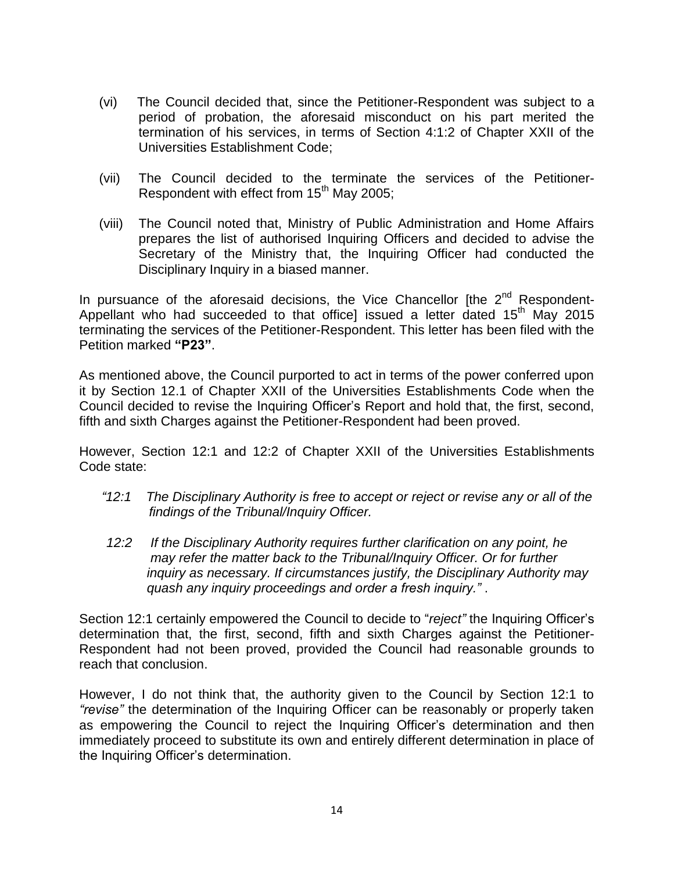- (vi) The Council decided that, since the Petitioner-Respondent was subject to a period of probation, the aforesaid misconduct on his part merited the termination of his services, in terms of Section 4:1:2 of Chapter XXII of the Universities Establishment Code;
- (vii) The Council decided to the terminate the services of the Petitioner-Respondent with effect from 15<sup>th</sup> May 2005;
- (viii) The Council noted that, Ministry of Public Administration and Home Affairs prepares the list of authorised Inquiring Officers and decided to advise the Secretary of the Ministry that, the Inquiring Officer had conducted the Disciplinary Inquiry in a biased manner.

In pursuance of the aforesaid decisions, the Vice Chancellor [the  $2<sup>nd</sup>$  Respondent-Appellant who had succeeded to that office] issued a letter dated  $15<sup>th</sup>$  May 2015 terminating the services of the Petitioner-Respondent. This letter has been filed with the Petition marked **"P23"**.

As mentioned above, the Council purported to act in terms of the power conferred upon it by Section 12.1 of Chapter XXII of the Universities Establishments Code when the Council decided to revise the Inquiring Officer"s Report and hold that, the first, second, fifth and sixth Charges against the Petitioner-Respondent had been proved.

However, Section 12:1 and 12:2 of Chapter XXII of the Universities Establishments Code state:

- *"12:1 The Disciplinary Authority is free to accept or reject or revise any or all of the findings of the Tribunal/Inquiry Officer.*
- *12:2 If the Disciplinary Authority requires further clarification on any point, he may refer the matter back to the Tribunal/Inquiry Officer. Or for further inquiry as necessary. If circumstances justify, the Disciplinary Authority may quash any inquiry proceedings and order a fresh inquiry."* .

Section 12:1 certainly empowered the Council to decide to "*reject"* the Inquiring Officer"s determination that, the first, second, fifth and sixth Charges against the Petitioner-Respondent had not been proved, provided the Council had reasonable grounds to reach that conclusion.

However, I do not think that, the authority given to the Council by Section 12:1 to *"revise"* the determination of the Inquiring Officer can be reasonably or properly taken as empowering the Council to reject the Inquiring Officer"s determination and then immediately proceed to substitute its own and entirely different determination in place of the Inquiring Officer"s determination.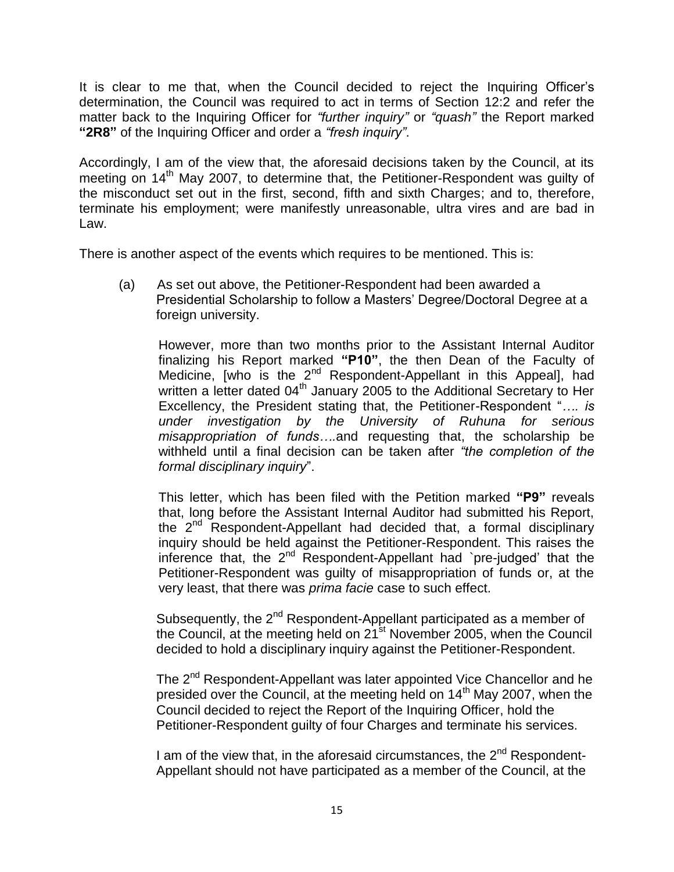It is clear to me that, when the Council decided to reject the Inquiring Officer's determination, the Council was required to act in terms of Section 12:2 and refer the matter back to the Inquiring Officer for *"further inquiry"* or *"quash"* the Report marked **"2R8"** of the Inquiring Officer and order a *"fresh inquiry"*.

Accordingly, I am of the view that, the aforesaid decisions taken by the Council, at its meeting on 14<sup>th</sup> May 2007, to determine that, the Petitioner-Respondent was quilty of the misconduct set out in the first, second, fifth and sixth Charges; and to, therefore, terminate his employment; were manifestly unreasonable, ultra vires and are bad in Law.

There is another aspect of the events which requires to be mentioned. This is:

(a) As set out above, the Petitioner-Respondent had been awarded a Presidential Scholarship to follow a Masters" Degree/Doctoral Degree at a foreign university.

However, more than two months prior to the Assistant Internal Auditor finalizing his Report marked **"P10"**, the then Dean of the Faculty of Medicine, [who is the 2<sup>nd</sup> Respondent-Appellant in this Appeal], had written a letter dated  $04<sup>th</sup>$  January 2005 to the Additional Secretary to Her Excellency, the President stating that, the Petitioner-Respondent "*…. is under investigation by the University of Ruhuna for serious misappropriation of funds….*and requesting that, the scholarship be withheld until a final decision can be taken after *"the completion of the formal disciplinary inquiry*".

This letter, which has been filed with the Petition marked **"P9"** reveals that, long before the Assistant Internal Auditor had submitted his Report, the 2<sup>nd</sup> Respondent-Appellant had decided that, a formal disciplinary inquiry should be held against the Petitioner-Respondent. This raises the inference that, the 2<sup>nd</sup> Respondent-Appellant had `pre-judged' that the Petitioner-Respondent was guilty of misappropriation of funds or, at the very least, that there was *prima facie* case to such effect.

Subsequently, the 2<sup>nd</sup> Respondent-Appellant participated as a member of the Council, at the meeting held on  $21^{st}$  November 2005, when the Council decided to hold a disciplinary inquiry against the Petitioner-Respondent.

The 2<sup>nd</sup> Respondent-Appellant was later appointed Vice Chancellor and he presided over the Council, at the meeting held on 14<sup>th</sup> May 2007, when the Council decided to reject the Report of the Inquiring Officer, hold the Petitioner-Respondent guilty of four Charges and terminate his services.

I am of the view that, in the aforesaid circumstances, the  $2^{nd}$  Respondent-Appellant should not have participated as a member of the Council, at the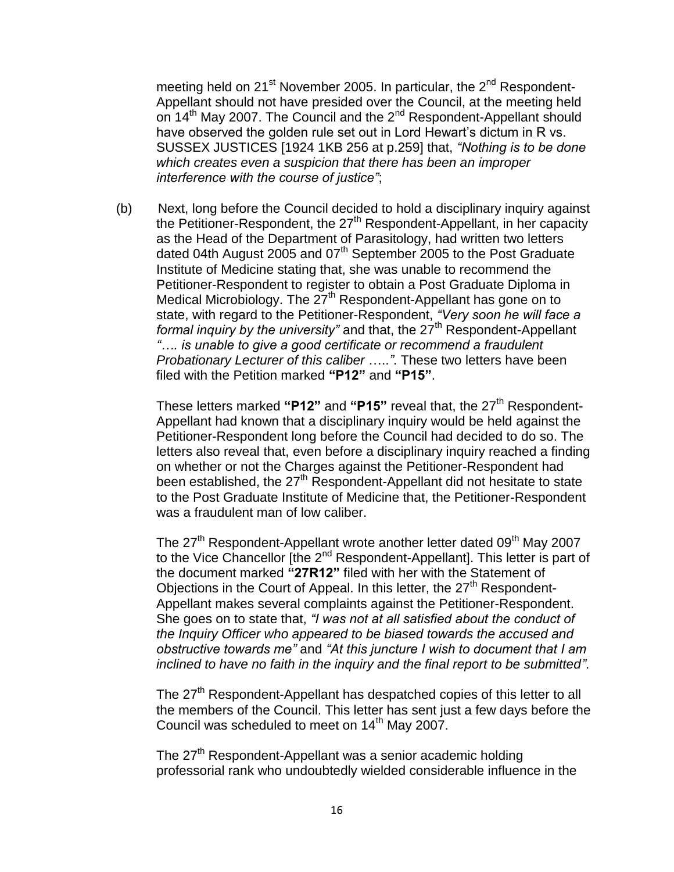meeting held on 21<sup>st</sup> November 2005. In particular, the 2<sup>nd</sup> Respondent- Appellant should not have presided over the Council, at the meeting held on 14<sup>th</sup> May 2007. The Council and the 2<sup>nd</sup> Respondent-Appellant should have observed the golden rule set out in Lord Hewart"s dictum in R vs. SUSSEX JUSTICES [1924 1KB 256 at p.259] that, *"Nothing is to be done which creates even a suspicion that there has been an improper interference with the course of justice"*;

 (b) Next, long before the Council decided to hold a disciplinary inquiry against the Petitioner-Respondent, the 27<sup>th</sup> Respondent-Appellant, in her capacity as the Head of the Department of Parasitology, had written two letters dated 04th August 2005 and 07<sup>th</sup> September 2005 to the Post Graduate Institute of Medicine stating that, she was unable to recommend the Petitioner-Respondent to register to obtain a Post Graduate Diploma in Medical Microbiology. The 27<sup>th</sup> Respondent-Appellant has gone on to state, with regard to the Petitioner-Respondent, *"Very soon he will face a formal inquiry by the university*" and that, the 27<sup>th</sup> Respondent-Appellant *"…. is unable to give a good certificate or recommend a fraudulent Probationary Lecturer of this caliber* …..*"*. These two letters have been filed with the Petition marked **"P12"** and **"P15"**.

These letters marked "P12" and "P15" reveal that, the 27<sup>th</sup> Respondent- Appellant had known that a disciplinary inquiry would be held against the Petitioner-Respondent long before the Council had decided to do so. The letters also reveal that, even before a disciplinary inquiry reached a finding on whether or not the Charges against the Petitioner-Respondent had been established, the 27<sup>th</sup> Respondent-Appellant did not hesitate to state to the Post Graduate Institute of Medicine that, the Petitioner-Respondent was a fraudulent man of low caliber.

The  $27<sup>th</sup>$  Respondent-Appellant wrote another letter dated  $09<sup>th</sup>$  May 2007 to the Vice Chancellor [the 2<sup>nd</sup> Respondent-Appellant]. This letter is part of the document marked **"27R12"** filed with her with the Statement of Objections in the Court of Appeal. In this letter, the  $27<sup>th</sup>$  Respondent- Appellant makes several complaints against the Petitioner-Respondent. She goes on to state that, *"I was not at all satisfied about the conduct of the Inquiry Officer who appeared to be biased towards the accused and obstructive towards me"* and *"At this juncture I wish to document that I am inclined to have no faith in the inquiry and the final report to be submitted"*.

The 27<sup>th</sup> Respondent-Appellant has despatched copies of this letter to all the members of the Council. This letter has sent just a few days before the Council was scheduled to meet on  $14<sup>th</sup>$  May 2007.

The 27<sup>th</sup> Respondent-Appellant was a senior academic holding professorial rank who undoubtedly wielded considerable influence in the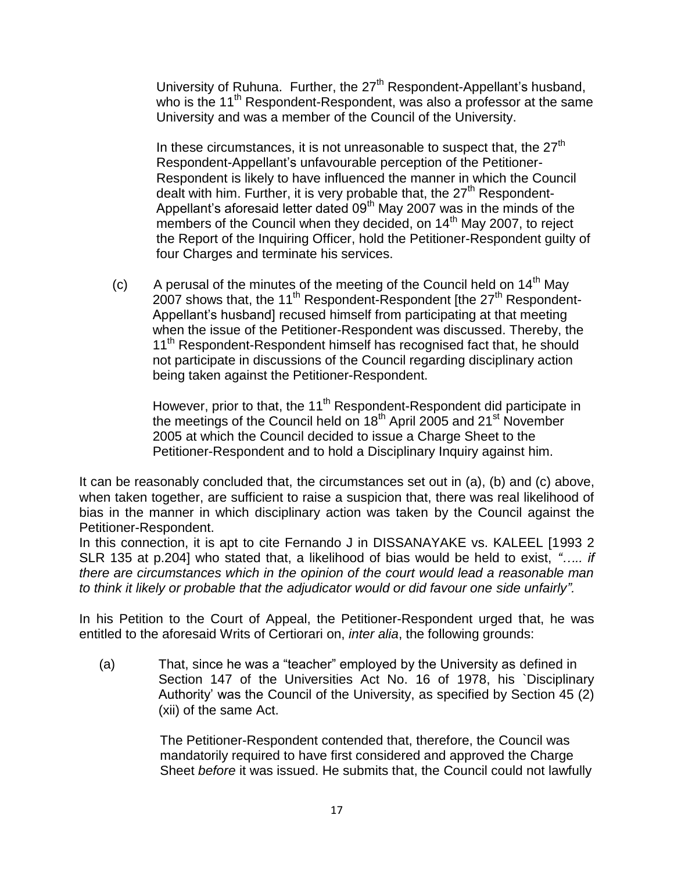University of Ruhuna. Further, the 27<sup>th</sup> Respondent-Appellant's husband, who is the 11<sup>th</sup> Respondent-Respondent, was also a professor at the same University and was a member of the Council of the University.

In these circumstances, it is not unreasonable to suspect that, the  $27<sup>th</sup>$  Respondent-Appellant"s unfavourable perception of the Petitioner- Respondent is likely to have influenced the manner in which the Council dealt with him. Further, it is very probable that, the 27<sup>th</sup> Respondent-Appellant's aforesaid letter dated  $09<sup>th</sup>$  May 2007 was in the minds of the members of the Council when they decided, on 14<sup>th</sup> May 2007, to reject the Report of the Inquiring Officer, hold the Petitioner-Respondent guilty of four Charges and terminate his services.

(c) A perusal of the minutes of the meeting of the Council held on  $14<sup>th</sup>$  May  $2007$  shows that, the 11<sup>th</sup> Respondent-Respondent [the 27<sup>th</sup> Respondent- Appellant"s husband] recused himself from participating at that meeting when the issue of the Petitioner-Respondent was discussed. Thereby, the 11<sup>th</sup> Respondent-Respondent himself has recognised fact that, he should not participate in discussions of the Council regarding disciplinary action being taken against the Petitioner-Respondent.

However, prior to that, the 11<sup>th</sup> Respondent-Respondent did participate in the meetings of the Council held on 18<sup>th</sup> April 2005 and 21<sup>st</sup> November 2005 at which the Council decided to issue a Charge Sheet to the Petitioner-Respondent and to hold a Disciplinary Inquiry against him.

It can be reasonably concluded that, the circumstances set out in (a), (b) and (c) above, when taken together, are sufficient to raise a suspicion that, there was real likelihood of bias in the manner in which disciplinary action was taken by the Council against the Petitioner-Respondent.

In this connection, it is apt to cite Fernando J in DISSANAYAKE vs. KALEEL [1993 2 SLR 135 at p.204] who stated that, a likelihood of bias would be held to exist, *"….. if there are circumstances which in the opinion of the court would lead a reasonable man to think it likely or probable that the adjudicator would or did favour one side unfairly".*

In his Petition to the Court of Appeal, the Petitioner-Respondent urged that, he was entitled to the aforesaid Writs of Certiorari on, *inter alia*, the following grounds:

(a) That, since he was a "teacher" employed by the University as defined in Section 147 of the Universities Act No. 16 of 1978, his `Disciplinary Authority" was the Council of the University, as specified by Section 45 (2) (xii) of the same Act.

> The Petitioner-Respondent contended that, therefore, the Council was mandatorily required to have first considered and approved the Charge Sheet *before* it was issued. He submits that, the Council could not lawfully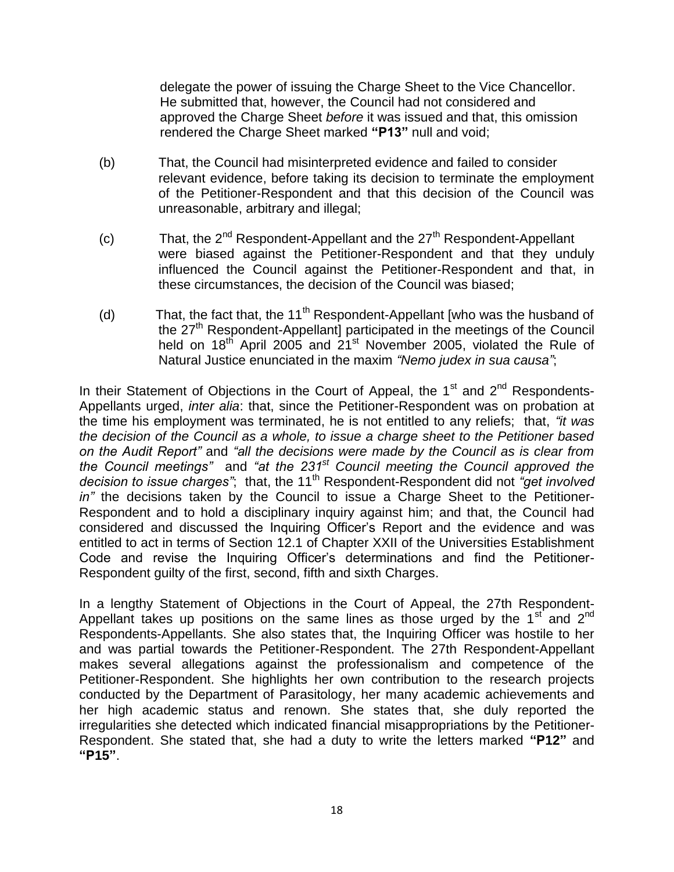delegate the power of issuing the Charge Sheet to the Vice Chancellor. He submitted that, however, the Council had not considered and approved the Charge Sheet *before* it was issued and that, this omission rendered the Charge Sheet marked **"P13"** null and void;

- (b) That, the Council had misinterpreted evidence and failed to consider relevant evidence, before taking its decision to terminate the employment of the Petitioner-Respondent and that this decision of the Council was unreasonable, arbitrary and illegal;
- (c) That, the  $2^{nd}$  Respondent-Appellant and the  $27<sup>th</sup>$  Respondent-Appellant were biased against the Petitioner-Respondent and that they unduly influenced the Council against the Petitioner-Respondent and that, in these circumstances, the decision of the Council was biased;
- (d) That, the fact that, the 11<sup>th</sup> Respondent-Appellant [who was the husband of the 27<sup>th</sup> Respondent-Appellant] participated in the meetings of the Council held on  $18<sup>th</sup>$  April 2005 and  $21<sup>st</sup>$  November 2005, violated the Rule of Natural Justice enunciated in the maxim *"Nemo judex in sua causa"*;

In their Statement of Objections in the Court of Appeal, the  $1<sup>st</sup>$  and  $2<sup>nd</sup>$  Respondents-Appellants urged, *inter alia*: that, since the Petitioner-Respondent was on probation at the time his employment was terminated, he is not entitled to any reliefs; that, *"it was the decision of the Council as a whole, to issue a charge sheet to the Petitioner based on the Audit Report"* and *"all the decisions were made by the Council as is clear from the Council meetings"* and *"at the 231st Council meeting the Council approved the*  decision to issue charges"; that, the 11<sup>th</sup> Respondent-Respondent did not *"get involved*" *in"* the decisions taken by the Council to issue a Charge Sheet to the Petitioner-Respondent and to hold a disciplinary inquiry against him; and that, the Council had considered and discussed the Inquiring Officer"s Report and the evidence and was entitled to act in terms of Section 12.1 of Chapter XXII of the Universities Establishment Code and revise the Inquiring Officer"s determinations and find the Petitioner-Respondent guilty of the first, second, fifth and sixth Charges.

In a lengthy Statement of Objections in the Court of Appeal, the 27th Respondent-Appellant takes up positions on the same lines as those urged by the  $1<sup>st</sup>$  and  $2<sup>nd</sup>$ Respondents-Appellants. She also states that, the Inquiring Officer was hostile to her and was partial towards the Petitioner-Respondent. The 27th Respondent-Appellant makes several allegations against the professionalism and competence of the Petitioner-Respondent. She highlights her own contribution to the research projects conducted by the Department of Parasitology, her many academic achievements and her high academic status and renown. She states that, she duly reported the irregularities she detected which indicated financial misappropriations by the Petitioner-Respondent. She stated that, she had a duty to write the letters marked **"P12"** and **"P15"**.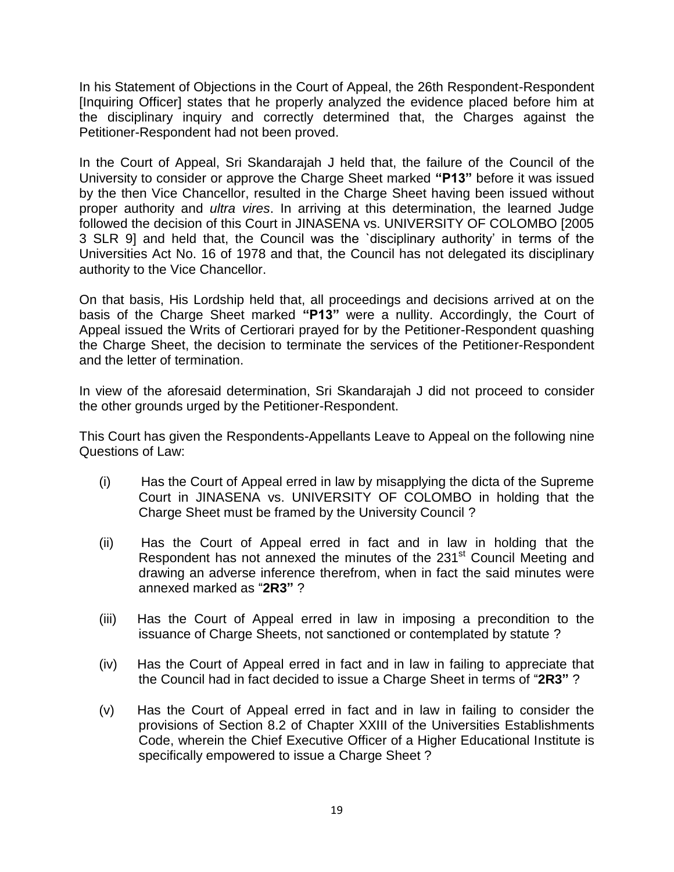In his Statement of Objections in the Court of Appeal, the 26th Respondent-Respondent [Inquiring Officer] states that he properly analyzed the evidence placed before him at the disciplinary inquiry and correctly determined that, the Charges against the Petitioner-Respondent had not been proved.

In the Court of Appeal, Sri Skandarajah J held that, the failure of the Council of the University to consider or approve the Charge Sheet marked **"P13"** before it was issued by the then Vice Chancellor, resulted in the Charge Sheet having been issued without proper authority and *ultra vires*. In arriving at this determination, the learned Judge followed the decision of this Court in JINASENA vs. UNIVERSITY OF COLOMBO [2005 3 SLR 9] and held that, the Council was the `disciplinary authority" in terms of the Universities Act No. 16 of 1978 and that, the Council has not delegated its disciplinary authority to the Vice Chancellor.

On that basis, His Lordship held that, all proceedings and decisions arrived at on the basis of the Charge Sheet marked **"P13"** were a nullity. Accordingly, the Court of Appeal issued the Writs of Certiorari prayed for by the Petitioner-Respondent quashing the Charge Sheet, the decision to terminate the services of the Petitioner-Respondent and the letter of termination.

In view of the aforesaid determination, Sri Skandarajah J did not proceed to consider the other grounds urged by the Petitioner-Respondent.

This Court has given the Respondents-Appellants Leave to Appeal on the following nine Questions of Law:

- (i) Has the Court of Appeal erred in law by misapplying the dicta of the Supreme Court in JINASENA vs. UNIVERSITY OF COLOMBO in holding that the Charge Sheet must be framed by the University Council ?
- (ii) Has the Court of Appeal erred in fact and in law in holding that the Respondent has not annexed the minutes of the 231<sup>st</sup> Council Meeting and drawing an adverse inference therefrom, when in fact the said minutes were annexed marked as "**2R3"** ?
- (iii) Has the Court of Appeal erred in law in imposing a precondition to the issuance of Charge Sheets, not sanctioned or contemplated by statute ?
- (iv) Has the Court of Appeal erred in fact and in law in failing to appreciate that the Council had in fact decided to issue a Charge Sheet in terms of "**2R3"** ?
- (v) Has the Court of Appeal erred in fact and in law in failing to consider the provisions of Section 8.2 of Chapter XXIII of the Universities Establishments Code, wherein the Chief Executive Officer of a Higher Educational Institute is specifically empowered to issue a Charge Sheet ?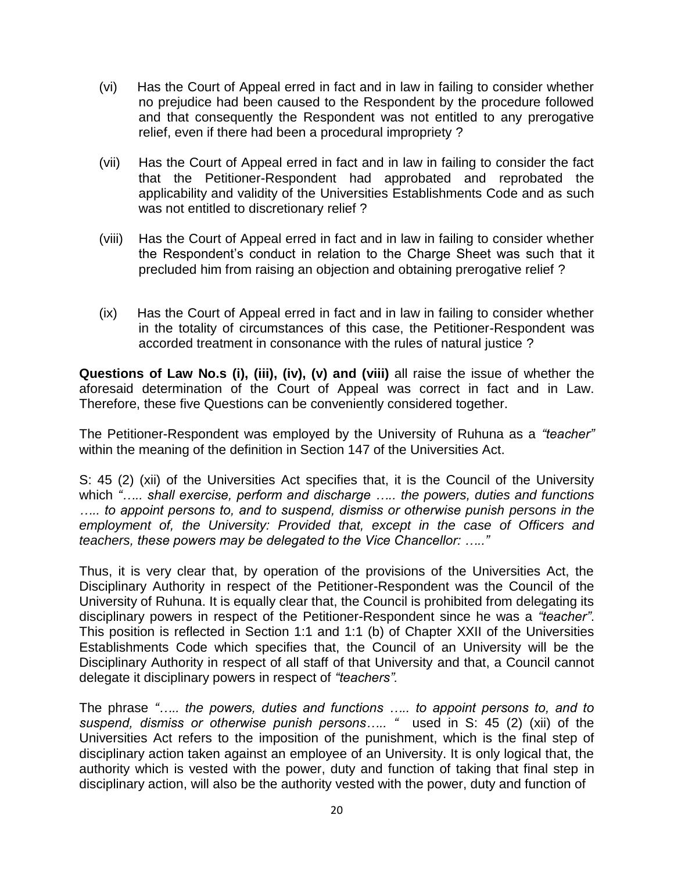- (vi) Has the Court of Appeal erred in fact and in law in failing to consider whether no prejudice had been caused to the Respondent by the procedure followed and that consequently the Respondent was not entitled to any prerogative relief, even if there had been a procedural impropriety ?
- (vii) Has the Court of Appeal erred in fact and in law in failing to consider the fact that the Petitioner-Respondent had approbated and reprobated the applicability and validity of the Universities Establishments Code and as such was not entitled to discretionary relief ?
- (viii) Has the Court of Appeal erred in fact and in law in failing to consider whether the Respondent"s conduct in relation to the Charge Sheet was such that it precluded him from raising an objection and obtaining prerogative relief ?
- (ix) Has the Court of Appeal erred in fact and in law in failing to consider whether in the totality of circumstances of this case, the Petitioner-Respondent was accorded treatment in consonance with the rules of natural justice ?

**Questions of Law No.s (i), (iii), (iv), (v) and (viii)** all raise the issue of whether the aforesaid determination of the Court of Appeal was correct in fact and in Law. Therefore, these five Questions can be conveniently considered together.

The Petitioner-Respondent was employed by the University of Ruhuna as a *"teacher"*  within the meaning of the definition in Section 147 of the Universities Act.

S: 45 (2) (xii) of the Universities Act specifies that, it is the Council of the University which *"….. shall exercise, perform and discharge ….. the powers, duties and functions ….. to appoint persons to, and to suspend, dismiss or otherwise punish persons in the employment of, the University: Provided that, except in the case of Officers and teachers, these powers may be delegated to the Vice Chancellor: ….."* 

Thus, it is very clear that, by operation of the provisions of the Universities Act, the Disciplinary Authority in respect of the Petitioner-Respondent was the Council of the University of Ruhuna. It is equally clear that, the Council is prohibited from delegating its disciplinary powers in respect of the Petitioner-Respondent since he was a *"teacher"*. This position is reflected in Section 1:1 and 1:1 (b) of Chapter XXII of the Universities Establishments Code which specifies that, the Council of an University will be the Disciplinary Authority in respect of all staff of that University and that, a Council cannot delegate it disciplinary powers in respect of *"teachers".*

The phrase *"….. the powers, duties and functions ….. to appoint persons to, and to suspend, dismiss or otherwise punish persons….. "* used in S: 45 (2) (xii) of the Universities Act refers to the imposition of the punishment, which is the final step of disciplinary action taken against an employee of an University. It is only logical that, the authority which is vested with the power, duty and function of taking that final step in disciplinary action, will also be the authority vested with the power, duty and function of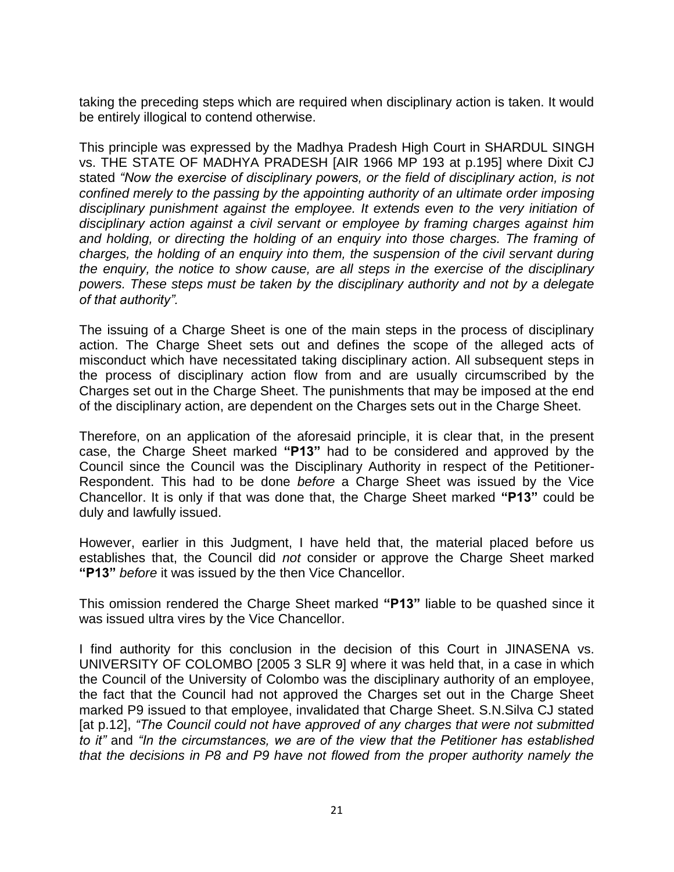taking the preceding steps which are required when disciplinary action is taken. It would be entirely illogical to contend otherwise.

This principle was expressed by the Madhya Pradesh High Court in SHARDUL SINGH vs. THE STATE OF MADHYA PRADESH [AIR 1966 MP 193 at p.195] where Dixit CJ stated *"Now the exercise of disciplinary powers, or the field of disciplinary action, is not confined merely to the passing by the appointing authority of an ultimate order imposing disciplinary punishment against the employee. It extends even to the very initiation of disciplinary action against a civil servant or employee by framing charges against him and holding, or directing the holding of an enquiry into those charges. The framing of charges, the holding of an enquiry into them, the suspension of the civil servant during the enquiry, the notice to show cause, are all steps in the exercise of the disciplinary powers. These steps must be taken by the disciplinary authority and not by a delegate of that authority".* 

The issuing of a Charge Sheet is one of the main steps in the process of disciplinary action. The Charge Sheet sets out and defines the scope of the alleged acts of misconduct which have necessitated taking disciplinary action. All subsequent steps in the process of disciplinary action flow from and are usually circumscribed by the Charges set out in the Charge Sheet. The punishments that may be imposed at the end of the disciplinary action, are dependent on the Charges sets out in the Charge Sheet.

Therefore, on an application of the aforesaid principle, it is clear that, in the present case, the Charge Sheet marked **"P13"** had to be considered and approved by the Council since the Council was the Disciplinary Authority in respect of the Petitioner-Respondent. This had to be done *before* a Charge Sheet was issued by the Vice Chancellor. It is only if that was done that, the Charge Sheet marked **"P13"** could be duly and lawfully issued.

However, earlier in this Judgment, I have held that, the material placed before us establishes that, the Council did *not* consider or approve the Charge Sheet marked **"P13"** *before* it was issued by the then Vice Chancellor.

This omission rendered the Charge Sheet marked **"P13"** liable to be quashed since it was issued ultra vires by the Vice Chancellor.

I find authority for this conclusion in the decision of this Court in JINASENA vs. UNIVERSITY OF COLOMBO [2005 3 SLR 9] where it was held that, in a case in which the Council of the University of Colombo was the disciplinary authority of an employee, the fact that the Council had not approved the Charges set out in the Charge Sheet marked P9 issued to that employee, invalidated that Charge Sheet. S.N.Silva CJ stated [at p.12], *"The Council could not have approved of any charges that were not submitted to it"* and *"In the circumstances, we are of the view that the Petitioner has established that the decisions in P8 and P9 have not flowed from the proper authority namely the*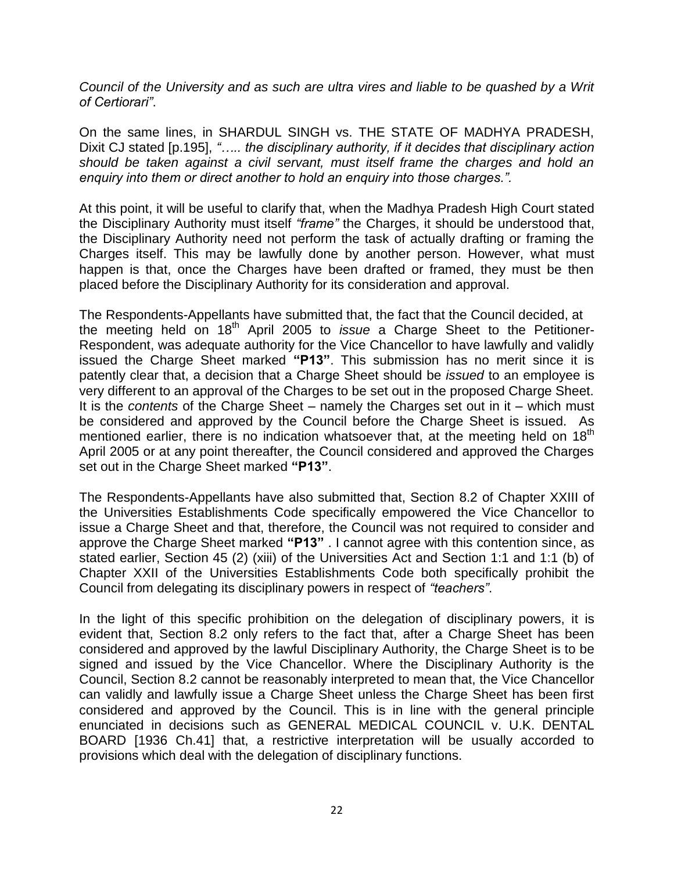*Council of the University and as such are ultra vires and liable to be quashed by a Writ of Certiorari"*.

On the same lines, in SHARDUL SINGH vs. THE STATE OF MADHYA PRADESH, Dixit CJ stated [p.195], *"….. the disciplinary authority, if it decides that disciplinary action should be taken against a civil servant, must itself frame the charges and hold an enquiry into them or direct another to hold an enquiry into those charges.".*

At this point, it will be useful to clarify that, when the Madhya Pradesh High Court stated the Disciplinary Authority must itself *"frame"* the Charges, it should be understood that, the Disciplinary Authority need not perform the task of actually drafting or framing the Charges itself. This may be lawfully done by another person. However, what must happen is that, once the Charges have been drafted or framed, they must be then placed before the Disciplinary Authority for its consideration and approval.

The Respondents-Appellants have submitted that, the fact that the Council decided, at the meeting held on 18th April 2005 to *issue* a Charge Sheet to the Petitioner-Respondent, was adequate authority for the Vice Chancellor to have lawfully and validly issued the Charge Sheet marked **"P13"**. This submission has no merit since it is patently clear that, a decision that a Charge Sheet should be *issued* to an employee is very different to an approval of the Charges to be set out in the proposed Charge Sheet. It is the *contents* of the Charge Sheet – namely the Charges set out in it – which must be considered and approved by the Council before the Charge Sheet is issued. As mentioned earlier, there is no indication whatsoever that, at the meeting held on  $18<sup>th</sup>$ April 2005 or at any point thereafter, the Council considered and approved the Charges set out in the Charge Sheet marked **"P13"**.

The Respondents-Appellants have also submitted that, Section 8.2 of Chapter XXIII of the Universities Establishments Code specifically empowered the Vice Chancellor to issue a Charge Sheet and that, therefore, the Council was not required to consider and approve the Charge Sheet marked **"P13"** . I cannot agree with this contention since, as stated earlier, Section 45 (2) (xiii) of the Universities Act and Section 1:1 and 1:1 (b) of Chapter XXII of the Universities Establishments Code both specifically prohibit the Council from delegating its disciplinary powers in respect of *"teachers"*.

In the light of this specific prohibition on the delegation of disciplinary powers, it is evident that, Section 8.2 only refers to the fact that, after a Charge Sheet has been considered and approved by the lawful Disciplinary Authority, the Charge Sheet is to be signed and issued by the Vice Chancellor. Where the Disciplinary Authority is the Council, Section 8.2 cannot be reasonably interpreted to mean that, the Vice Chancellor can validly and lawfully issue a Charge Sheet unless the Charge Sheet has been first considered and approved by the Council. This is in line with the general principle enunciated in decisions such as GENERAL MEDICAL COUNCIL v. U.K. DENTAL BOARD [1936 Ch.41] that, a restrictive interpretation will be usually accorded to provisions which deal with the delegation of disciplinary functions.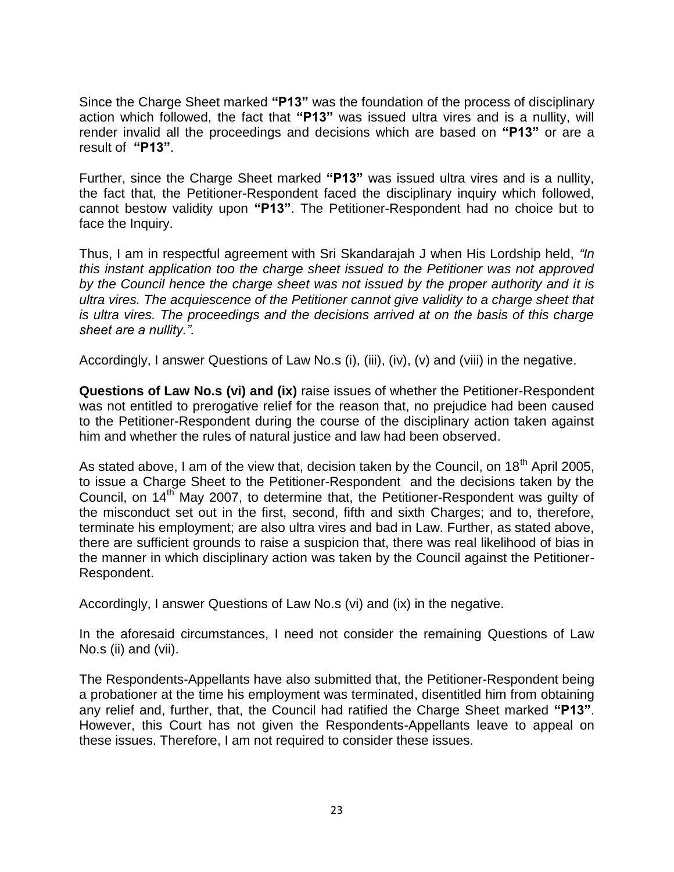Since the Charge Sheet marked **"P13"** was the foundation of the process of disciplinary action which followed, the fact that **"P13"** was issued ultra vires and is a nullity, will render invalid all the proceedings and decisions which are based on **"P13"** or are a result of **"P13"**.

Further, since the Charge Sheet marked **"P13"** was issued ultra vires and is a nullity, the fact that, the Petitioner-Respondent faced the disciplinary inquiry which followed, cannot bestow validity upon **"P13"**. The Petitioner-Respondent had no choice but to face the Inquiry.

Thus, I am in respectful agreement with Sri Skandarajah J when His Lordship held, *"In this instant application too the charge sheet issued to the Petitioner was not approved by the Council hence the charge sheet was not issued by the proper authority and it is ultra vires. The acquiescence of the Petitioner cannot give validity to a charge sheet that is ultra vires. The proceedings and the decisions arrived at on the basis of this charge sheet are a nullity.".*

Accordingly, I answer Questions of Law No.s (i), (iii), (iv), (v) and (viii) in the negative.

**Questions of Law No.s (vi) and (ix)** raise issues of whether the Petitioner-Respondent was not entitled to prerogative relief for the reason that, no prejudice had been caused to the Petitioner-Respondent during the course of the disciplinary action taken against him and whether the rules of natural justice and law had been observed.

As stated above, I am of the view that, decision taken by the Council, on 18<sup>th</sup> April 2005, to issue a Charge Sheet to the Petitioner-Respondent and the decisions taken by the Council, on 14th May 2007, to determine that, the Petitioner-Respondent was guilty of the misconduct set out in the first, second, fifth and sixth Charges; and to, therefore, terminate his employment; are also ultra vires and bad in Law. Further, as stated above, there are sufficient grounds to raise a suspicion that, there was real likelihood of bias in the manner in which disciplinary action was taken by the Council against the Petitioner-Respondent.

Accordingly, I answer Questions of Law No.s (vi) and (ix) in the negative.

In the aforesaid circumstances, I need not consider the remaining Questions of Law No.s (ii) and (vii).

The Respondents-Appellants have also submitted that, the Petitioner-Respondent being a probationer at the time his employment was terminated, disentitled him from obtaining any relief and, further, that, the Council had ratified the Charge Sheet marked **"P13"**. However, this Court has not given the Respondents-Appellants leave to appeal on these issues. Therefore, I am not required to consider these issues.